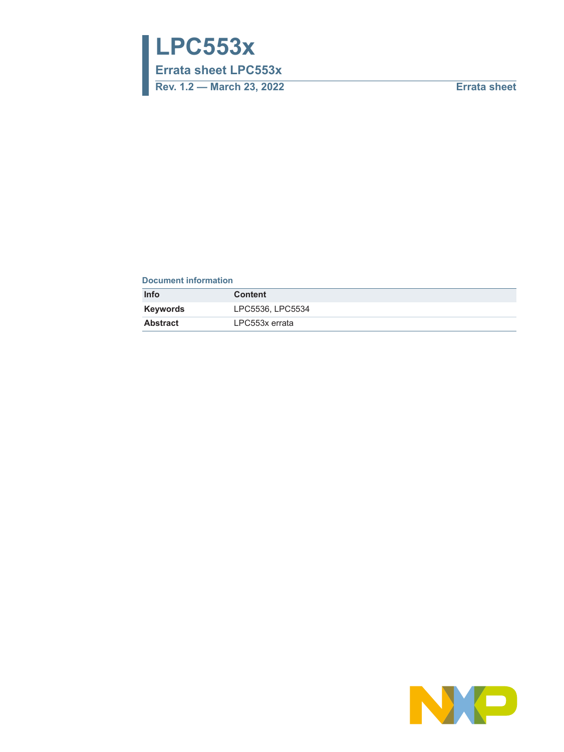**LPC553x**

**Errata sheet LPC553x**

**Rev. 1.2 — March 23, 2022 Errata sheet**

#### **Document information**

| <b>Info</b>     | <b>Content</b>   |
|-----------------|------------------|
| Keywords        | LPC5536, LPC5534 |
| <b>Abstract</b> | LPC553x errata   |

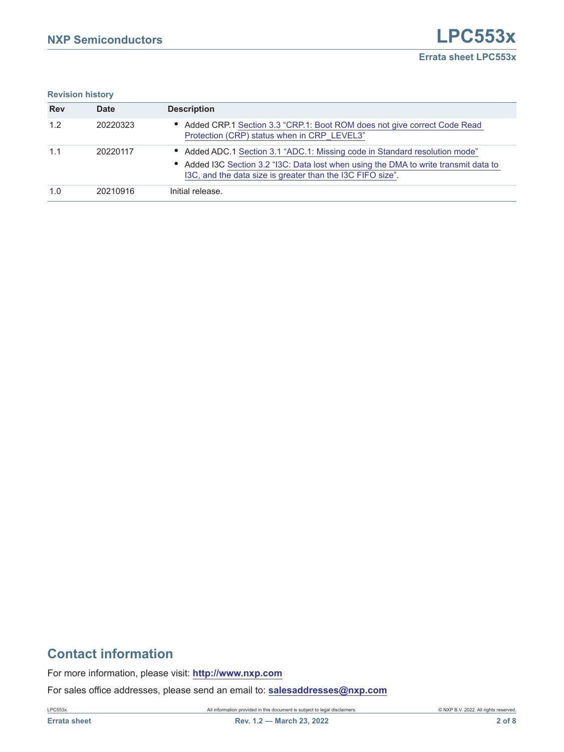**Revision history** 

| <b>Rev</b> | <b>Date</b> | <b>Description</b>                                                                                                                                                                                                                |
|------------|-------------|-----------------------------------------------------------------------------------------------------------------------------------------------------------------------------------------------------------------------------------|
| 1.2        | 20220323    | • Added CRP.1 Section 3.3 "CRP.1: Boot ROM does not give correct Code Read<br>Protection (CRP) status when in CRP LEVEL3"                                                                                                         |
| 1.1        | 20220117    | • Added ADC.1 Section 3.1 "ADC.1: Missing code in Standard resolution mode"<br>• Added I3C Section 3.2 "I3C: Data lost when using the DMA to write transmit data to<br>I3C, and the data size is greater than the I3C FIFO size". |
| 1.0        | 20210916    | Initial release.                                                                                                                                                                                                                  |

# **Contact information**

For more information, please visit: **http://www.nxp.com**

For sales office addresses, please send an email to: **salesaddresses@nxp.com**

LPC553x All information provided in this document is subject to legal disclaimers. © NXP B.V. 2022. All rights reserved.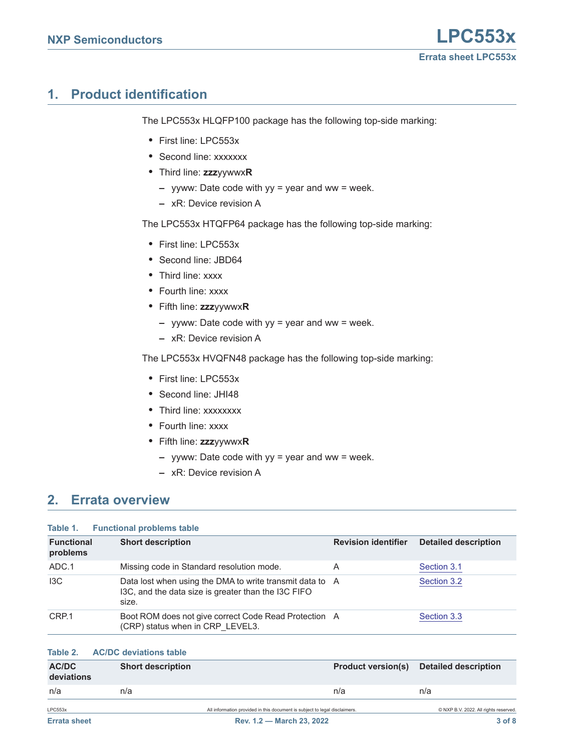# <span id="page-2-0"></span>**1. Product identification**

The LPC553x HLQFP100 package has the following top-side marking:

- **•** First line: LPC553x
- **•** Second line: xxxxxxx
- **•** Third line: **zzz**yywwx**R**
	- **–** yyww: Date code with yy = year and ww = week.
	- **–** xR: Device revision A

The LPC553x HTQFP64 package has the following top-side marking:

- **•** First line: LPC553x
- **•** Second line: JBD64
- **•** Third line: xxxx
- **•** Fourth line: xxxx
- **•** Fifth line: **zzz**yywwx**R**
	- **–** yyww: Date code with yy = year and ww = week.
	- **–** xR: Device revision A

The LPC553x HVQFN48 package has the following top-side marking:

- **•** First line: LPC553x
- **•** Second line: JHI48
- **•** Third line: xxxxxxxx
- **•** Fourth line: xxxx
- **•** Fifth line: **zzz**yywwx**R**
	- **–** yyww: Date code with yy = year and ww = week.
	- **–** xR: Device revision A

## <span id="page-2-1"></span>**2. Errata overview**

#### **Table 1. Functional problems table**

| <b>Functional</b><br>problems | <b>Short description</b>                                                                                                 | <b>Revision identifier</b> | <b>Detailed description</b> |
|-------------------------------|--------------------------------------------------------------------------------------------------------------------------|----------------------------|-----------------------------|
| ADC.1                         | Missing code in Standard resolution mode.                                                                                | A                          | Section 3.1                 |
| 13C                           | Data lost when using the DMA to write transmit data to A<br>I3C, and the data size is greater than the I3C FIFO<br>size. |                            | Section 3.2                 |
| CRP.1                         | Boot ROM does not give correct Code Read Protection A<br>(CRP) status when in CRP LEVEL3.                                |                            | Section 3.3                 |

### **Table 2. AC/DC deviations table**

| AC/DC<br>deviations | <b>Short description</b> | <b>Product version(s)</b>                                                  | <b>Detailed description</b>           |
|---------------------|--------------------------|----------------------------------------------------------------------------|---------------------------------------|
| n/a                 | n/a                      | n/a                                                                        | n/a                                   |
| LPC553x             |                          | All information provided in this document is subject to legal disclaimers. | © NXP B.V. 2022. All rights reserved. |
| <b>Errata sheet</b> |                          | Rev. 1.2 - March 23, 2022                                                  | 3 of 8                                |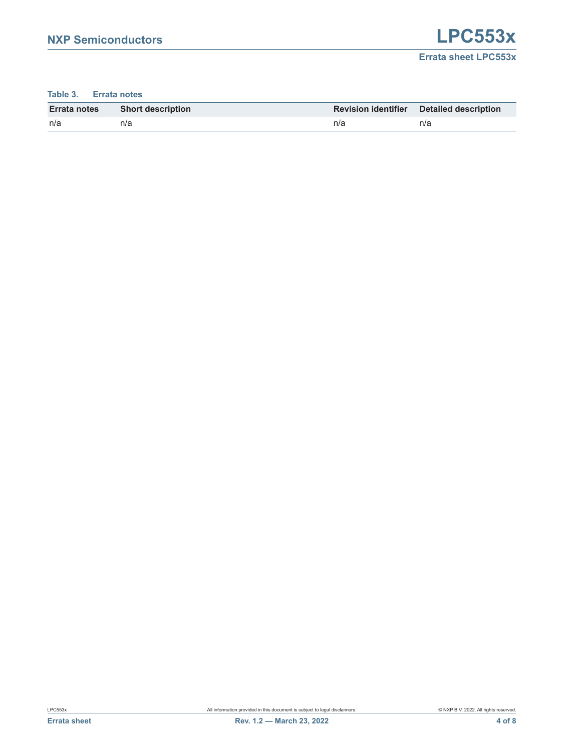#### **Table 3. Errata notes**

| <b>Errata notes</b> | <b>Short description</b> |     | <b>Revision identifier</b> Detailed description |
|---------------------|--------------------------|-----|-------------------------------------------------|
| n/a                 | n/a                      | n/a | n/a                                             |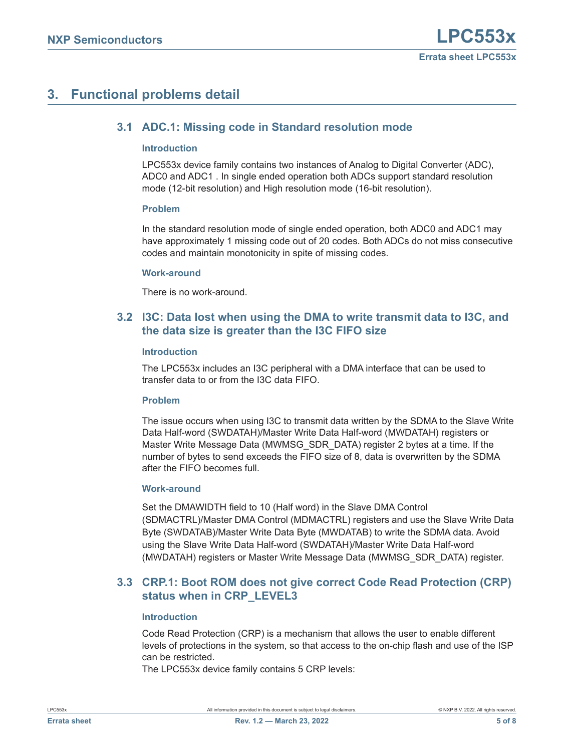# <span id="page-4-3"></span><span id="page-4-0"></span>**3. Functional problems detail**

## **3.1 ADC.1: Missing code in Standard resolution mode**

#### <span id="page-4-4"></span>**Introduction**

LPC553x device family contains two instances of Analog to Digital Converter (ADC), ADC0 and ADC1 . In single ended operation both ADCs support standard resolution mode (12-bit resolution) and High resolution mode (16-bit resolution).

#### <span id="page-4-5"></span>**Problem**

In the standard resolution mode of single ended operation, both ADC0 and ADC1 may have approximately 1 missing code out of 20 codes. Both ADCs do not miss consecutive codes and maintain monotonicity in spite of missing codes.

#### <span id="page-4-6"></span>**Work-around**

There is no work-around.

## <span id="page-4-1"></span>**3.2 I3C: Data lost when using the DMA to write transmit data to I3C, and the data size is greater than the I3C FIFO size**

#### <span id="page-4-7"></span>**Introduction**

The LPC553x includes an I3C peripheral with a DMA interface that can be used to transfer data to or from the I3C data FIFO.

#### <span id="page-4-8"></span>**Problem**

The issue occurs when using I3C to transmit data written by the SDMA to the Slave Write Data Half-word (SWDATAH)/Master Write Data Half-word (MWDATAH) registers or Master Write Message Data (MWMSG\_SDR\_DATA) register 2 bytes at a time. If the number of bytes to send exceeds the FIFO size of 8, data is overwritten by the SDMA after the FIFO becomes full.

#### <span id="page-4-9"></span>**Work-around**

Set the DMAWIDTH field to 10 (Half word) in the Slave DMA Control (SDMACTRL)/Master DMA Control (MDMACTRL) registers and use the Slave Write Data Byte (SWDATAB)/Master Write Data Byte (MWDATAB) to write the SDMA data. Avoid using the Slave Write Data Half-word (SWDATAH)/Master Write Data Half-word (MWDATAH) registers or Master Write Message Data (MWMSG\_SDR\_DATA) register.

## <span id="page-4-2"></span>**3.3 CRP.1: Boot ROM does not give correct Code Read Protection (CRP) status when in CRP\_LEVEL3**

#### <span id="page-4-10"></span>**Introduction**

Code Read Protection (CRP) is a mechanism that allows the user to enable different levels of protections in the system, so that access to the on-chip flash and use of the ISP can be restricted.

The LPC553x device family contains 5 CRP levels: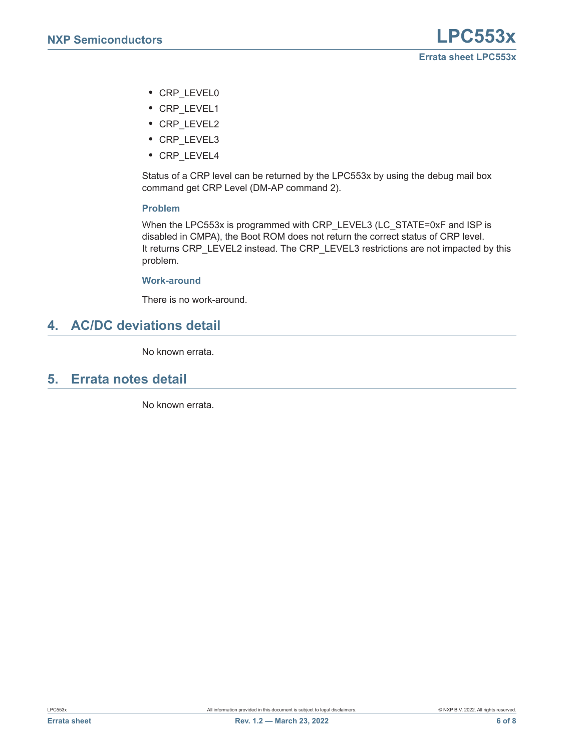- **•** CRP\_LEVEL0
- **•** CRP\_LEVEL1
- **•** CRP\_LEVEL2
- **•** CRP\_LEVEL3
- **•** CRP\_LEVEL4

Status of a CRP level can be returned by the LPC553x by using the debug mail box command get CRP Level (DM-AP command 2).

#### <span id="page-5-0"></span>**Problem**

When the LPC553x is programmed with CRP\_LEVEL3 (LC\_STATE=0xF and ISP is disabled in CMPA), the Boot ROM does not return the correct status of CRP level. It returns CRP\_LEVEL2 instead. The CRP\_LEVEL3 restrictions are not impacted by this problem.

#### <span id="page-5-1"></span>**Work-around**

There is no work-around.

## <span id="page-5-2"></span>**4. AC/DC deviations detail**

No known errata.

## <span id="page-5-3"></span>**5. Errata notes detail**

No known errata.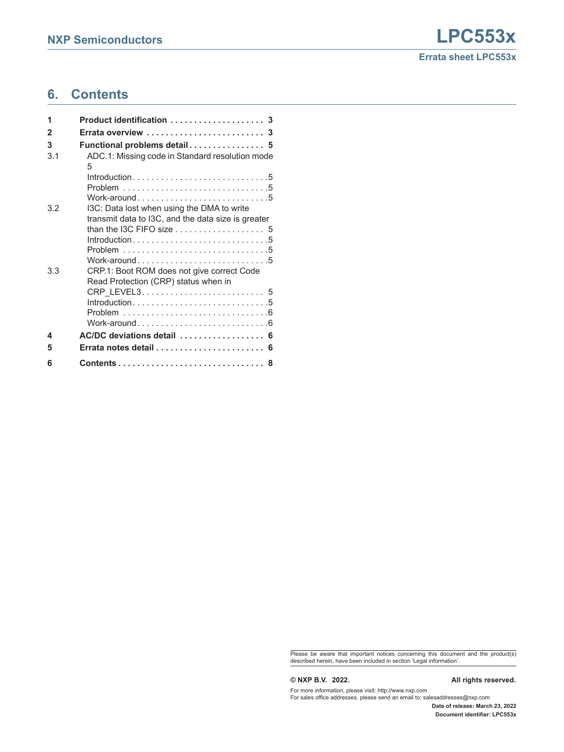## **6. Contents**

| 1   | Product identification  3                                                                        |
|-----|--------------------------------------------------------------------------------------------------|
| 2   | Errata overview  3                                                                               |
| 3   | Functional problems detail 5                                                                     |
| 3.1 | ADC.1: Missing code in Standard resolution mode<br>5                                             |
|     | Introduction5<br>Work-around5                                                                    |
| 3.2 | I3C: Data lost when using the DMA to write<br>transmit data to I3C, and the data size is greater |
|     | than the I3C FIFO size $\ldots, \ldots, \ldots, \ldots, 5$                                       |
|     |                                                                                                  |
|     |                                                                                                  |
|     | Work-around5                                                                                     |
| 3.3 | CRP.1: Boot ROM does not give correct Code<br>Read Protection (CRP) status when in               |
|     | CRP LEVEL3 5                                                                                     |
|     | Introduction5                                                                                    |
|     |                                                                                                  |
|     | Work-around6                                                                                     |
| 4   |                                                                                                  |
| 5   |                                                                                                  |
| 6   | 8                                                                                                |

Please be aware that important notices concerning this document and the product(s) described herein, have been included in section 'Legal information'.

#### **© NXP B.V. 2022. All rights reserved.**

For more information, please visit: http://www.nxp.com For sales office addresses, please send an email to: salesaddresses@nxp.com

**Date of release: March 23, 2022 Document identifier: LPC553x**